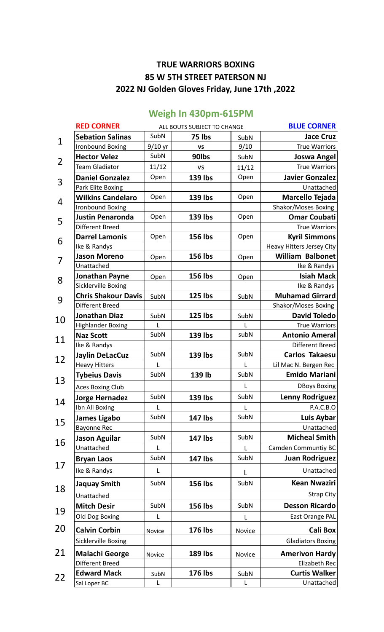## **TRUE WARRIORS BOXING 85 W 5TH STREET PATERSON NJ 2022 NJ Golden Gloves Friday, June 17th ,2022**

| <b>RED CORNER</b>                                  |              | ALL BOUTS SUBJECT TO CHANGE | <b>BLUE CORNER</b> |                                  |
|----------------------------------------------------|--------------|-----------------------------|--------------------|----------------------------------|
| <b>Sebation Salinas</b><br><b>Ironbound Boxing</b> | SubN         | 75 lbs                      | SubN               | <b>Jace Cruz</b>                 |
|                                                    | $9/10$ yr    | VS                          | 9/10               | <b>True Warriors</b>             |
| <b>Hector Velez</b>                                | SubN         | 90lbs                       | SubN               | <b>Joswa Angel</b>               |
| <b>Team Gladiator</b>                              | 11/12        | <b>VS</b>                   | 11/12              | <b>True Warriors</b>             |
| <b>Daniel Gonzalez</b>                             | Open         | <b>139 lbs</b>              | Open               | <b>Javier Gonzalez</b>           |
| Park Elite Boxing                                  |              |                             |                    | Unattached                       |
| <b>Wilkins Candelaro</b>                           | Open         | 139 lbs                     | Open               | Marcello Tejada                  |
| <b>Ironbound Boxing</b>                            |              |                             |                    | Shakor/Moses Boxing              |
| <b>Justin Penaronda</b>                            | Open         | 139 lbs                     | Open               | <b>Omar Coubati</b>              |
| Different Breed                                    |              |                             |                    | <b>True Warriors</b>             |
| <b>Darrel Lamonis</b>                              | Open         | 156 lbs                     | Open               | <b>Kyril Simmons</b>             |
| Ike & Randys                                       |              |                             |                    | <b>Heavy Hitters Jersey City</b> |
| <b>Jason Moreno</b>                                | Open         | <b>156 lbs</b>              | Open               | <b>William Balbonet</b>          |
| Unattached                                         |              |                             |                    | Ike & Randys                     |
| <b>Jonathan Payne</b>                              | Open         | 156 lbs                     | Open               | <b>Isiah Mack</b>                |
| <b>Sicklerville Boxing</b>                         |              |                             |                    | Ike & Randys                     |
| <b>Chris Shakour Davis</b>                         | SubN         | <b>125 lbs</b>              | SubN               | <b>Muhamad Girrard</b>           |
| Different Breed                                    |              |                             |                    | Shakor/Moses Boxing              |
| <b>Jonathan Diaz</b>                               | SubN         | <b>125 lbs</b>              | SubN               | <b>David Toledo</b>              |
| <b>Highlander Boxing</b>                           | $\mathbf{I}$ |                             | L                  | <b>True Warriors</b>             |
| <b>Naz Scott</b>                                   | SubN         | 139 lbs                     | subN               | <b>Antonio Ameral</b>            |
| Ike & Randys                                       |              |                             |                    | Different Breed                  |
| <b>Jaylin DeLacCuz</b>                             | SubN         | 139 lbs                     | SubN               | <b>Carlos Takaesu</b>            |
| <b>Heavy Hitters</b>                               | L            |                             | L                  | Lil Mac N. Bergen Rec            |
| <b>Tybeius Davis</b>                               | SubN         | 139 lb                      | SubN               | <b>Emido Mariani</b>             |
| <b>Aces Boxing Club</b>                            |              |                             | L                  | <b>DBoys Boxing</b>              |
| <b>Jorge Hernadez</b>                              | SubN         | 139 lbs                     | SubN               | <b>Lenny Rodriguez</b>           |
| Ibn Ali Boxing                                     | L            |                             | L                  | P.A.C.B.O                        |
| <b>James Ligabo</b>                                | SubN         | 147 lbs                     | SubN               | Luis Aybar                       |
| <b>Bayonne Rec</b>                                 |              |                             |                    | Unattached                       |
| <b>Jason Aguilar</b>                               | SubN         | 147 lbs                     | SubN               | <b>Micheal Smith</b>             |
| Unattached                                         | L            |                             | L                  | <b>Camden Communtiy BC</b>       |
| <b>Bryan Laos</b>                                  | SubN         | 147 lbs                     | SubN               | <b>Juan Rodriguez</b>            |
| Ike & Randys                                       | L            |                             | L                  | Unattached                       |
| <b>Jaquay Smith</b>                                | SubN         | <b>156 lbs</b>              | SubN               | <b>Kean Nwaziri</b>              |
| Unattached                                         |              |                             |                    | <b>Strap City</b>                |
| <b>Mitch Desir</b>                                 | SubN         | <b>156 lbs</b>              | SubN               | <b>Desson Ricardo</b>            |
| Old Dog Boxing                                     | L            |                             | L                  | East Orange PAL                  |
| <b>Calvin Corbin</b>                               | Novice       | 176 lbs                     | Novice             | <b>Cali Box</b>                  |
| Sicklerville Boxing                                |              |                             |                    | <b>Gladiators Boxing</b>         |
| <b>Malachi George</b>                              | Novice       | <b>189 lbs</b>              | Novice             | <b>Amerivon Hardy</b>            |
| Different Breed                                    |              |                             |                    | Elizabeth Rec                    |
| <b>Edward Mack</b>                                 | SubN         | <b>176 lbs</b>              | SubN               | <b>Curtis Walker</b>             |
| Sal Lopez BC                                       | L            |                             | L                  | Unattached                       |

## **Weigh In 430pm-615PM**